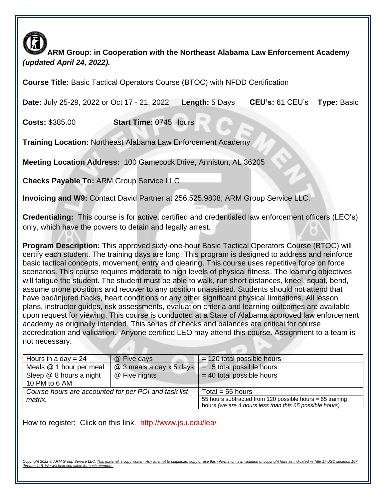**ARM Group: in Cooperation with the Northeast Alabama Law Enforcement Academy**  *(updated April 24, 2022).* 

**Course Title:** Basic Tactical Operators Course (BTOC) with NFDD Certification

**Date:** July 25-29, 2022 or Oct 17 - 21, 2022 **Length:** 5 Days **CEU's:** 61 CEU's **Type:** Basic

**Costs:** \$385.00 **Start Time:** 0745 Hours

**Training Location:** Northeast Alabama Law Enforcement Academy

**Meeting Location Address:** 100 Gamecock Drive, Anniston, AL 36205

**Checks Payable To:** ARM Group Service LLC

**Invoicing and W9:** Contact David Partner at 256.525.9808; ARM Group Service LLC.

**Credentialing:** This course is for active, certified and credentialed law enforcement officers (LEO's) only, which have the powers to detain and legally arrest.

**Program Description:** This approved sixty-one-hour Basic Tactical Operators Course (BTOC) will certify each student. The training days are long. This program is designed to address and reinforce basic tactical concepts, movement, entry and clearing. This course uses repetitive force on force scenarios. This course requires moderate to high levels of physical fitness. The learning objectives will fatigue the student. The student must be able to walk, run short distances, kneel, squat, bend, assume prone positions and recover to any position unassisted. Students should not attend that have bad/injured backs, heart conditions or any other significant physical limitations. All lesson plans, instructor guides, risk assessments, evaluation criteria and learning outcomes are available upon request for viewing. This course is conducted at a State of Alabama approved law enforcement academy as originally intended. This series of checks and balances are critical for course accreditation and validation. Anyone certified LEO may attend this course. Assignment to a team is not necessary.

| Hours in a day $= 24$                                | @ Five days              | $= 120$ total possible hours                                                                                         |
|------------------------------------------------------|--------------------------|----------------------------------------------------------------------------------------------------------------------|
| Meals @ 1 hour per meal                              | @ 3 meals a day x 5 days | $= 15$ total possible hours                                                                                          |
| Sleep @ 8 hours a night<br>10 PM to 6 AM             | @ Five nights            | $=$ 40 total possible hours                                                                                          |
| Course hours are accounted for per POI and task list |                          | Total = $55$ hours                                                                                                   |
| matrix.                                              |                          | 55 hours subtracted from 120 possible hours = 65 training<br>hours (we are 4 hours less than this 65 possible hours) |

How to register: Click on this link. <http://www.jsu.edu/lea/>

Convright 2022 © ARM Group Service LLC: This material is copy written. Any attempt to plagiarize *through 118. We will hold you liable for such attempts.*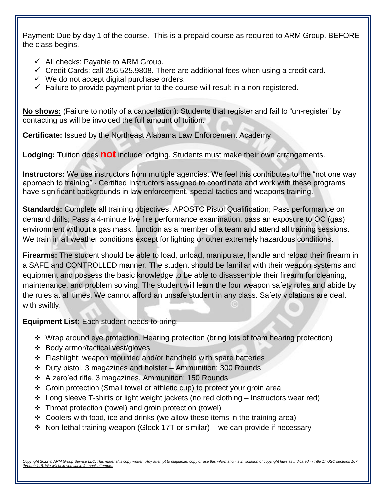Payment: Due by day 1 of the course. This is a prepaid course as required to ARM Group. BEFORE the class begins.

- $\checkmark$  All checks: Payable to ARM Group.
- $\checkmark$  Credit Cards: call 256.525.9808. There are additional fees when using a credit card.
- $\checkmark$  We do not accept digital purchase orders.
- $\checkmark$  Failure to provide payment prior to the course will result in a non-registered.

**No shows:** (Failure to notify of a cancellation): Students that register and fail to "un-register" by contacting us will be invoiced the full amount of tuition.

**Certificate:** Issued by the Northeast Alabama Law Enforcement Academy

**Lodging:** Tuition does **not** include lodging. Students must make their own arrangements.

**Instructors:** We use instructors from multiple agencies. We feel this contributes to the "not one way approach to training" - Certified Instructors assigned to coordinate and work with these programs have significant backgrounds in law enforcement, special tactics and weapons training.

**Standards:** Complete all training objectives. APOSTC Pistol Qualification; Pass performance on demand drills; Pass a 4-minute live fire performance examination, pass an exposure to OC (gas) environment without a gas mask, function as a member of a team and attend all training sessions. We train in all weather conditions except for lighting or other extremely hazardous conditions.

**Firearms:** The student should be able to load, unload, manipulate, handle and reload their firearm in a SAFE and CONTROLLED manner. The student should be familiar with their weapon systems and equipment and possess the basic knowledge to be able to disassemble their firearm for cleaning, maintenance, and problem solving. The student will learn the four weapon safety rules and abide by the rules at all times. We cannot afford an unsafe student in any class. Safety violations are dealt with swiftly.

**Equipment List:** Each student needs to bring:

- ❖ Wrap around eye protection, Hearing protection (bring lots of foam hearing protection)
- ❖ Body armor/tactical vest/gloves
- ❖ Flashlight: weapon mounted and/or handheld with spare batteries
- ❖ Duty pistol, 3 magazines and holster Ammunition: 300 Rounds
- ❖ A zero'ed rifle, 3 magazines, Ammunition: 150 Rounds
- ❖ Groin protection (Small towel or athletic cup) to protect your groin area
- ❖ Long sleeve T-shirts or light weight jackets (no red clothing Instructors wear red)
- ❖ Throat protection (towel) and groin protection (towel)
- ◆ Coolers with food, ice and drinks (we allow these items in the training area)
- ❖ Non-lethal training weapon (Glock 17T or similar) we can provide if necessary

Convright 2022 © ARM Group Service LLC: This material is copy written. Any attempt to plagiarize *through 118. We will hold you liable for such attempts.*